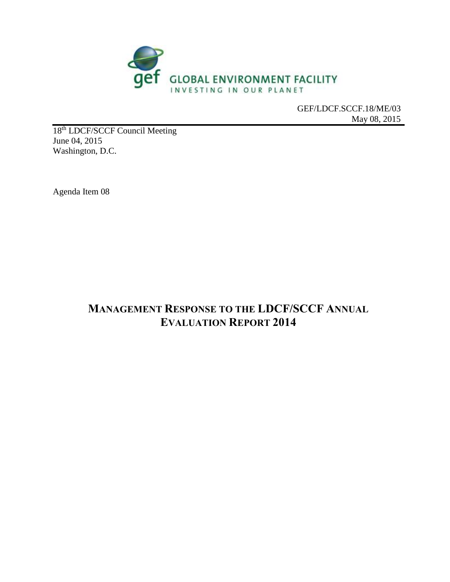

GEF/LDCF.SCCF.18/ME/03 May 08, 2015

18<sup>th</sup> LDCF/SCCF Council Meeting June 04, 2015 Washington, D.C.

Agenda Item 08

## **MANAGEMENT RESPONSE TO THE LDCF/SCCF ANNUAL EVALUATION REPORT 2014**